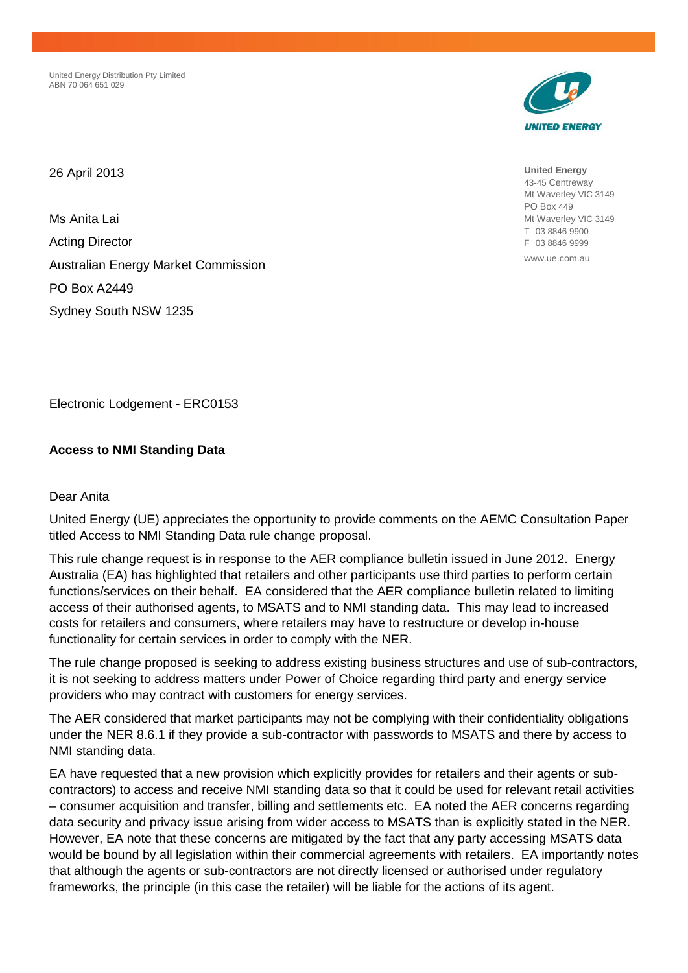United Energy Distribution Pty Limited ABN 70 064 651 029



**United Energy** 43-45 Centreway Mt Waverley VIC 3149 PO Box 449 Mt Waverley VIC 3149 T 03 8846 9900 F 03 8846 9999

www.ue.com.au

26 April 2013

Ms Anita Lai Acting Director Australian Energy Market Commission PO Box A2449 Sydney South NSW 1235

Electronic Lodgement - ERC0153

# **Access to NMI Standing Data**

## Dear Anita

United Energy (UE) appreciates the opportunity to provide comments on the AEMC Consultation Paper titled Access to NMI Standing Data rule change proposal.

This rule change request is in response to the AER compliance bulletin issued in June 2012. Energy Australia (EA) has highlighted that retailers and other participants use third parties to perform certain functions/services on their behalf. EA considered that the AER compliance bulletin related to limiting access of their authorised agents, to MSATS and to NMI standing data. This may lead to increased costs for retailers and consumers, where retailers may have to restructure or develop in-house functionality for certain services in order to comply with the NER.

The rule change proposed is seeking to address existing business structures and use of sub-contractors, it is not seeking to address matters under Power of Choice regarding third party and energy service providers who may contract with customers for energy services.

The AER considered that market participants may not be complying with their confidentiality obligations under the NER 8.6.1 if they provide a sub-contractor with passwords to MSATS and there by access to NMI standing data.

EA have requested that a new provision which explicitly provides for retailers and their agents or subcontractors) to access and receive NMI standing data so that it could be used for relevant retail activities – consumer acquisition and transfer, billing and settlements etc. EA noted the AER concerns regarding data security and privacy issue arising from wider access to MSATS than is explicitly stated in the NER. However, EA note that these concerns are mitigated by the fact that any party accessing MSATS data would be bound by all legislation within their commercial agreements with retailers. EA importantly notes that although the agents or sub-contractors are not directly licensed or authorised under regulatory frameworks, the principle (in this case the retailer) will be liable for the actions of its agent.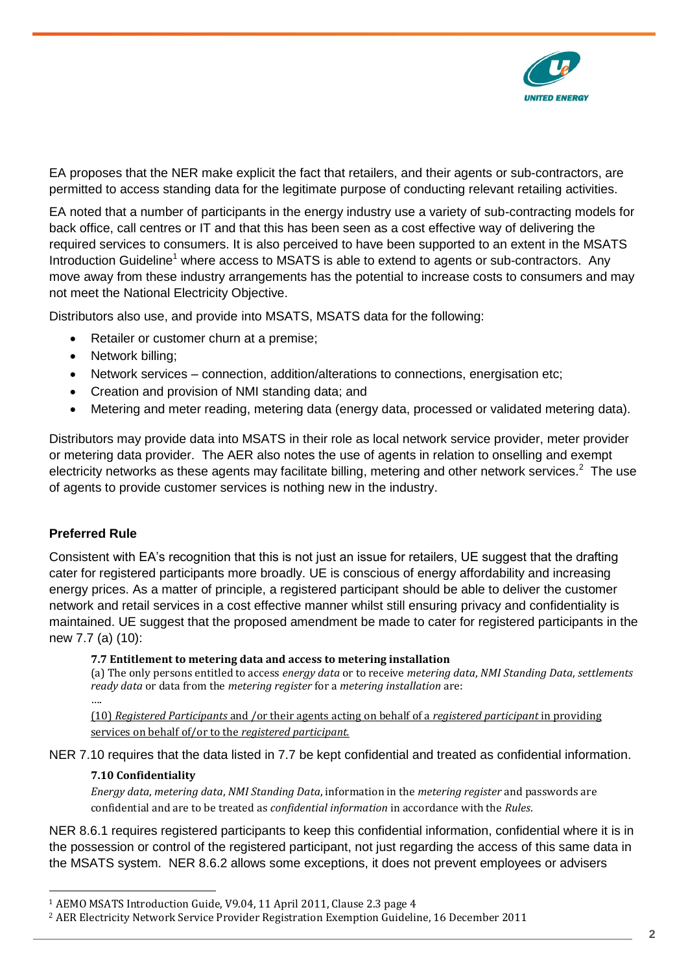

EA proposes that the NER make explicit the fact that retailers, and their agents or sub-contractors, are permitted to access standing data for the legitimate purpose of conducting relevant retailing activities.

EA noted that a number of participants in the energy industry use a variety of sub-contracting models for back office, call centres or IT and that this has been seen as a cost effective way of delivering the required services to consumers. It is also perceived to have been supported to an extent in the MSATS Introduction Guideline<sup>1</sup> where access to MSATS is able to extend to agents or sub-contractors. Any move away from these industry arrangements has the potential to increase costs to consumers and may not meet the National Electricity Objective.

Distributors also use, and provide into MSATS, MSATS data for the following:

- Retailer or customer churn at a premise;
- Network billing;
- Network services connection, addition/alterations to connections, energisation etc;
- Creation and provision of NMI standing data; and
- Metering and meter reading, metering data (energy data, processed or validated metering data).

Distributors may provide data into MSATS in their role as local network service provider, meter provider or metering data provider. The AER also notes the use of agents in relation to onselling and exempt electricity networks as these agents may facilitate billing, metering and other network services.<sup>2</sup> The use of agents to provide customer services is nothing new in the industry.

## **Preferred Rule**

Consistent with EA's recognition that this is not just an issue for retailers, UE suggest that the drafting cater for registered participants more broadly. UE is conscious of energy affordability and increasing energy prices. As a matter of principle, a registered participant should be able to deliver the customer network and retail services in a cost effective manner whilst still ensuring privacy and confidentiality is maintained. UE suggest that the proposed amendment be made to cater for registered participants in the new 7.7 (a) (10):

### **7.7 Entitlement to metering data and access to metering installation**

(a) The only persons entitled to access *energy data* or to receive *metering data*, *NMI Standing Data*, *settlements ready data* or data from the *metering register* for a *metering installation* are:

….

 $\overline{a}$ 

(10) *Registered Participants* and /or their agents acting on behalf of a *registered participant* in providing services on behalf of/or to the *registered participant.*

NER 7.10 requires that the data listed in 7.7 be kept confidential and treated as confidential information.

## **7.10 Confidentiality**

*Energy data*, *metering data*, *NMI Standing Data*, information in the *metering register* and passwords are confidential and are to be treated as *confidential information* in accordance with the *Rules*.

NER 8.6.1 requires registered participants to keep this confidential information, confidential where it is in the possession or control of the registered participant, not just regarding the access of this same data in the MSATS system. NER 8.6.2 allows some exceptions, it does not prevent employees or advisers

<sup>1</sup> AEMO MSATS Introduction Guide, V9.04, 11 April 2011, Clause 2.3 page 4

<sup>2</sup> AER Electricity Network Service Provider Registration Exemption Guideline, 16 December 2011